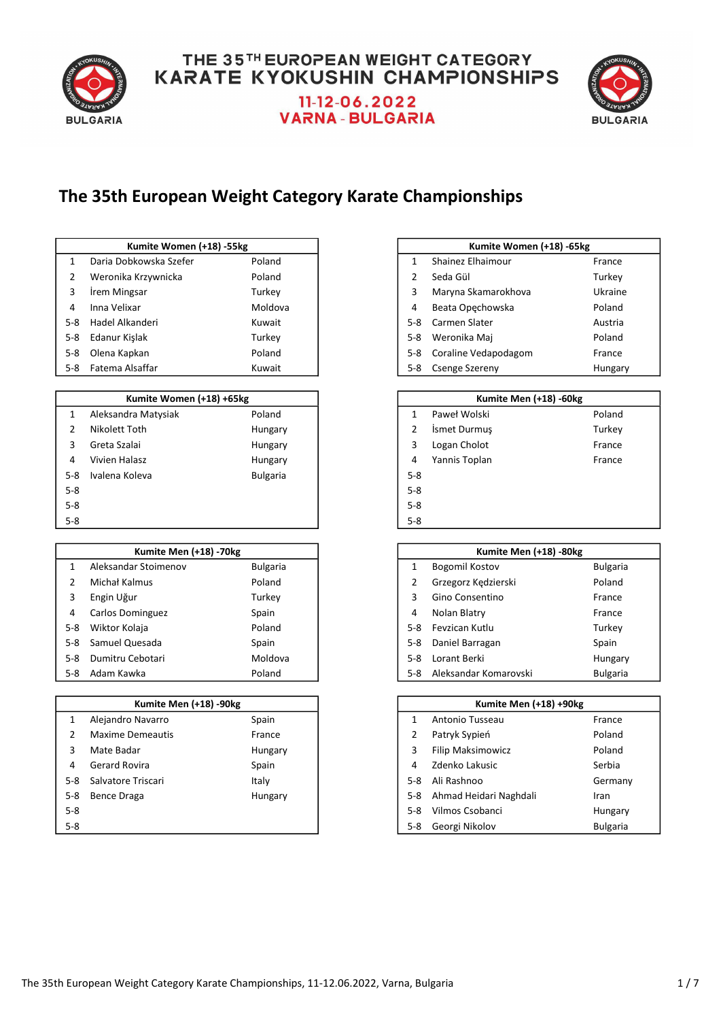

# **VARNA - BULGARIA**



### The 35th European Weight Category Karate Championships

|         | Kumite Women (+18) -55kg |         |       | Kumite Women (+18) -65kg |         |
|---------|--------------------------|---------|-------|--------------------------|---------|
|         | Daria Dobkowska Szefer   | Poland  |       | Shainez Elhaimour        | France  |
|         | Weronika Krzywnicka      | Poland  |       | Seda Gül                 | Turkey  |
|         | Irem Mingsar             | Turkey  | 3     | Maryna Skamarokhova      | Ukraine |
| 4       | Inna Velixar             | Moldova | 4     | Beata Opechowska         | Poland  |
| $5-8$   | Hadel Alkanderi          | Kuwait  | $5-8$ | Carmen Slater            | Austria |
| $5-8$   | Edanur Kislak            | Turkey  | 5-8   | Weronika Maj             | Poland  |
| $5 - 8$ | Olena Kapkan             | Poland  | 5-8   | Coraline Vedapodagom     | France  |
|         | 5-8 Fatema Alsaffar      | Kuwait  | 5-8   | Csenge Szereny           | Hungary |

|       | Kumite Women (+18) +65kg |                 |         | Kumite Men (+18) -60kg |        |
|-------|--------------------------|-----------------|---------|------------------------|--------|
|       | Aleksandra Matysiak      | Poland          |         | Paweł Wolski           | Poland |
| 2     | Nikolett Toth            | Hungary         |         | <b>Ismet Durmus</b>    | Turkey |
| 3     | Greta Szalai             | Hungary         | 3       | Logan Cholot           | France |
| 4     | Vivien Halasz            | Hungary         | 4       | Yannis Toplan          | France |
| $5-8$ | Ivalena Koleva           | <b>Bulgaria</b> | $5 - 8$ |                        |        |
| 5-8   |                          |                 | $5 - 8$ |                        |        |
| $5-8$ |                          |                 | $5 - 8$ |                        |        |
| $5-8$ |                          |                 | $5 - 8$ |                        |        |

|       | <b>Kumite Men (+18) -70kg</b> |                 |
|-------|-------------------------------|-----------------|
|       | Aleksandar Stoimenov          | <b>Bulgaria</b> |
|       | Michał Kalmus                 | Poland          |
| 3     | Engin Uğur                    | Turkey          |
| 4     | Carlos Dominguez              | Spain           |
| 5-8   | Wiktor Kolaja                 | Poland          |
| 5-8   | Samuel Quesada                | Spain           |
| $5-8$ | Dumitru Cebotari              | Moldova         |
| 5-8   | Adam Kawka                    | Poland          |

### 1 Alejandro Navarro 1992 - Spain 2 Maxime Demeautis France 3 Mate Badar **Filip Maksimowicz Polandische Hungary** Polandische Polandische Polandische Polandische Polandische 4 Gerard Rovira **Access 20 Gerard Rovira** Spain 5-8 Salvatore Triscari **Italy** Italy 5-8 Bence Draga **Hungary** Hungary 5-8 5-8 Vilmos Csobanci Hungary 5-8 5-8 Georgi Nikolov Bulgaria Kumite Men (+18) -90kg

| Kumite Women (+18) -55kg |         |               | Kumite Women (+18) -65kg |         |
|--------------------------|---------|---------------|--------------------------|---------|
| bkowska Szefer           | Poland  |               | Shainez Elhaimour        | France  |
| a Krzywnicka             | Poland  | $\mathcal{P}$ | Seda Gül                 | Turkey  |
| າgsar                    | Turkey  | 3             | Maryna Skamarokhova      | Ukraine |
| xar                      | Moldova | 4             | Beata Opechowska         | Poland  |
| kanderi                  | Kuwait  | $5-8$         | Carmen Slater            | Austria |
| .işlak                   | Turkey  | 5-8           | Weronika Maj             | Poland  |
| <b>pkan</b>              | Poland  | 5-8           | Coraline Vedapodagom     | France  |
| Alsaffar                 | Kuwait  | 5-8           | <b>Csenge Szereny</b>    | Hungary |

|         | Kumite Men (+18) -60kg |        |  |  |  |
|---------|------------------------|--------|--|--|--|
| 1       | Paweł Wolski           | Poland |  |  |  |
| 2       | Ismet Durmuş           | Turkey |  |  |  |
| 3       | Logan Cholot           | France |  |  |  |
| 4       | Yannis Toplan          | France |  |  |  |
| $5 - 8$ |                        |        |  |  |  |
| $5 - 8$ |                        |        |  |  |  |
| $5 - 8$ |                        |        |  |  |  |
| $5 - 8$ |                        |        |  |  |  |

| Kumite Men (+18) -70kg |                 |       | Kumite Men (+18) -80kg |                 |
|------------------------|-----------------|-------|------------------------|-----------------|
| r Stoimenov            | <b>Bulgaria</b> |       | Bogomil Kostov         | <b>Bulgaria</b> |
| mus                    | Poland          | 2     | Grzegorz Kędzierski    | Poland          |
|                        | Turkey          |       | Gino Consentino        | France          |
| ninguez                | Spain           | 4     | Nolan Blatry           | France          |
| laja                   | Poland          | $5-8$ | Fevzican Kutlu         | Turkey          |
| ıesada                 | Spain           | $5-8$ | Daniel Barragan        | Spain           |
| ebotari                | Moldova         | $5-8$ | Lorant Berki           | Hungary         |
| rka                    | Poland          | 5-8   | Aleksandar Komarovski  | <b>Bulgaria</b> |
|                        |                 |       |                        |                 |

|       | Kumite Men (+18) +90kg   |                 |
|-------|--------------------------|-----------------|
| 1     | Antonio Tusseau          | France          |
| 2     | Patryk Sypień            | Poland          |
| 3     | <b>Filip Maksimowicz</b> | Poland          |
| 4     | Zdenko Lakusic           | Serbia          |
| $5-8$ | Ali Rashnoo              | Germany         |
| $5-8$ | Ahmad Heidari Naghdali   | Iran            |
| 5-8   | Vilmos Csobanci          | Hungary         |
| 5-8   | Georgi Nikolov           | <b>Bulgaria</b> |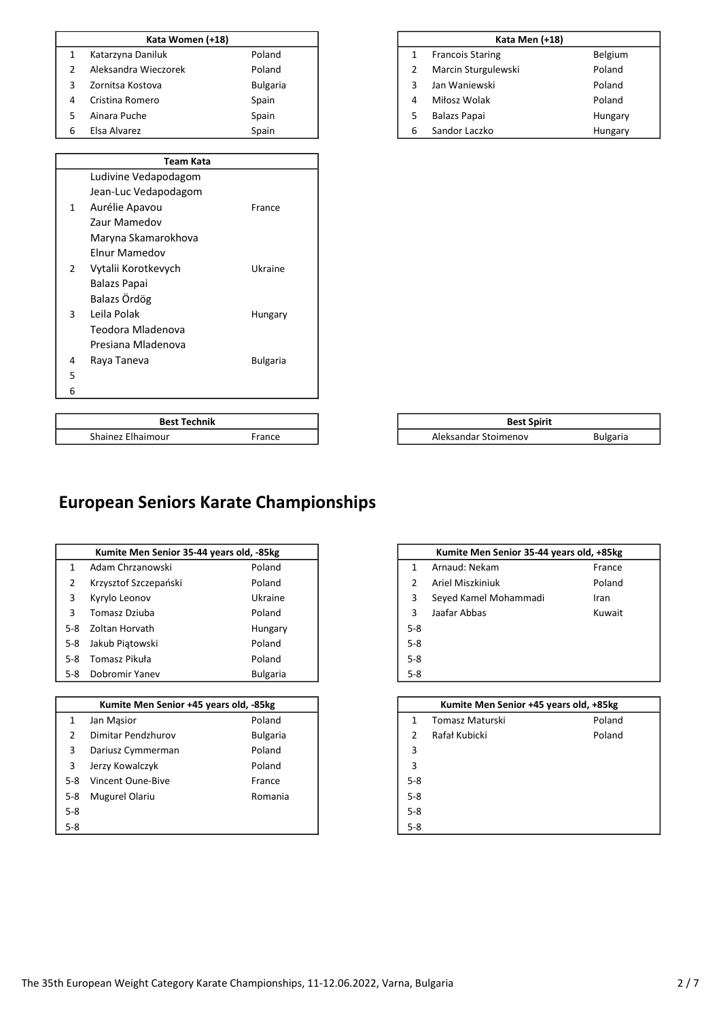|   | Kata Women (+18)     |                 |  |
|---|----------------------|-----------------|--|
|   | Katarzyna Daniluk    | Poland          |  |
|   | Aleksandra Wieczorek | Poland          |  |
|   | Zornitsa Kostova     | <b>Bulgaria</b> |  |
| 4 | Cristina Romero      | Spain           |  |
|   | Ainara Puche         | Spain           |  |
| 6 | Elsa Alvarez         | Spain           |  |

|   | Team Kata            |                 |
|---|----------------------|-----------------|
|   | Ludivine Vedapodagom |                 |
|   | Jean-Luc Vedapodagom |                 |
| 1 | Aurélie Apavou       | France          |
|   | <b>Zaur Mamedov</b>  |                 |
|   | Maryna Skamarokhova  |                 |
|   | <b>Flnur Mamedov</b> |                 |
| 2 | Vytalii Korotkevych  | Ukraine         |
|   | Balazs Papai         |                 |
|   | Balazs Ördög         |                 |
| 3 | Leila Polak          | Hungary         |
|   | Teodora Mladenova    |                 |
|   | Presiana Mladenova   |                 |
| 4 | Raya Taneva          | <b>Bulgaria</b> |
| 5 |                      |                 |
| 6 |                      |                 |
|   |                      |                 |

Shainez Elhaimour France

**Best Technik** 

|                                                | Kata Men (+18)                     |         |  |  |  |
|------------------------------------------------|------------------------------------|---------|--|--|--|
| $\mathbf{1}$                                   | Belgium<br><b>Francois Staring</b> |         |  |  |  |
| Poland<br>Marcin Sturgulewski<br>$\mathcal{P}$ |                                    |         |  |  |  |
| Poland<br>Jan Waniewski<br>3                   |                                    |         |  |  |  |
| Miłosz Wolak<br>Poland<br>4                    |                                    |         |  |  |  |
| 5<br><b>Balazs Papai</b><br>Hungary            |                                    |         |  |  |  |
| 6                                              | Sandor Laczko                      | Hungary |  |  |  |

| <b>Best Spirit</b>   |                 |
|----------------------|-----------------|
| Aleksandar Stoimenov | <b>Bulgaria</b> |
|                      |                 |

### European Seniors Karate Championships

|       | Kumite Men Senior 35-44 years old, -85kg |                 | Kumite Men Senior 35-44 years old, +85kg |                |
|-------|------------------------------------------|-----------------|------------------------------------------|----------------|
| 1     | Adam Chrzanowski                         | Poland          | Arnaud: Nekam<br>1                       | France         |
| 2     | Krzysztof Szczepański                    | Poland          | Ariel Miszkiniuk                         | Poland<br>Iran |
| 3     | Kyrylo Leonov                            | Ukraine         | 3<br>Seyed Kamel Mohammadi               |                |
| 3     | Tomasz Dziuba                            | Poland          | Jaafar Abbas<br>3                        | Kuwait         |
| $5-8$ | Zoltan Horvath                           | Hungary         | $5-8$                                    |                |
| $5-8$ | Jakub Piątowski                          | Poland          | $5 - 8$                                  |                |
| $5-8$ | Tomasz Pikuła                            | Poland          | $5 - 8$                                  |                |
| 5-8   | Dobromir Yanev                           | <b>Bulgaria</b> | $5-8$                                    |                |
|       |                                          |                 |                                          |                |
|       | Kumite Men Senior +45 years old, -85kg   |                 | Kumite Men Senior +45 years old, +85kg   |                |
| 1     | Jan Masior                               | Poland          | Tomasz Maturski<br>1                     | Poland         |
| 2     | Dimitar Pendzhurov                       | <b>Bulgaria</b> | Rafał Kubicki                            | Poland         |
| 3     | Dariusz Cymmerman                        | Poland          | 3                                        |                |

|               | Kumite Men Senior 35-44 years old, +85kg |        |  |  |  |  |  |  |
|---------------|------------------------------------------|--------|--|--|--|--|--|--|
| 1             | Arnaud: Nekam                            | France |  |  |  |  |  |  |
| $\mathcal{P}$ | Ariel Miszkiniuk                         | Poland |  |  |  |  |  |  |
| 3             | Seyed Kamel Mohammadi                    | Iran   |  |  |  |  |  |  |
| 3             | Jaafar Abbas                             | Kuwait |  |  |  |  |  |  |
| $5-8$         |                                          |        |  |  |  |  |  |  |
| $5 - 8$       |                                          |        |  |  |  |  |  |  |
| $5 - 8$       |                                          |        |  |  |  |  |  |  |
| $5 - 8$       |                                          |        |  |  |  |  |  |  |
|               |                                          |        |  |  |  |  |  |  |

| Kumite Men Senior +45 years old, -85kg |                    |                 | Kumite Men Senior +45 years old, +85kg |                 |        |
|----------------------------------------|--------------------|-----------------|----------------------------------------|-----------------|--------|
| 1                                      | Jan Masior         | Poland          |                                        | Tomasz Maturski | Poland |
| 2                                      | Dimitar Pendzhurov | <b>Bulgaria</b> |                                        | Rafał Kubicki   | Poland |
| 3                                      | Dariusz Cymmerman  | Poland          | 3                                      |                 |        |
| 3                                      | Jerzy Kowalczyk    | Poland          | 3                                      |                 |        |
| 5-8                                    | Vincent Oune-Bive  | France          | $5-8$                                  |                 |        |
| 5-8                                    | Mugurel Olariu     | Romania         | $5 - 8$                                |                 |        |
| $5-8$                                  |                    |                 | $5-8$                                  |                 |        |
| $5-8$                                  |                    |                 | $5-8$                                  |                 |        |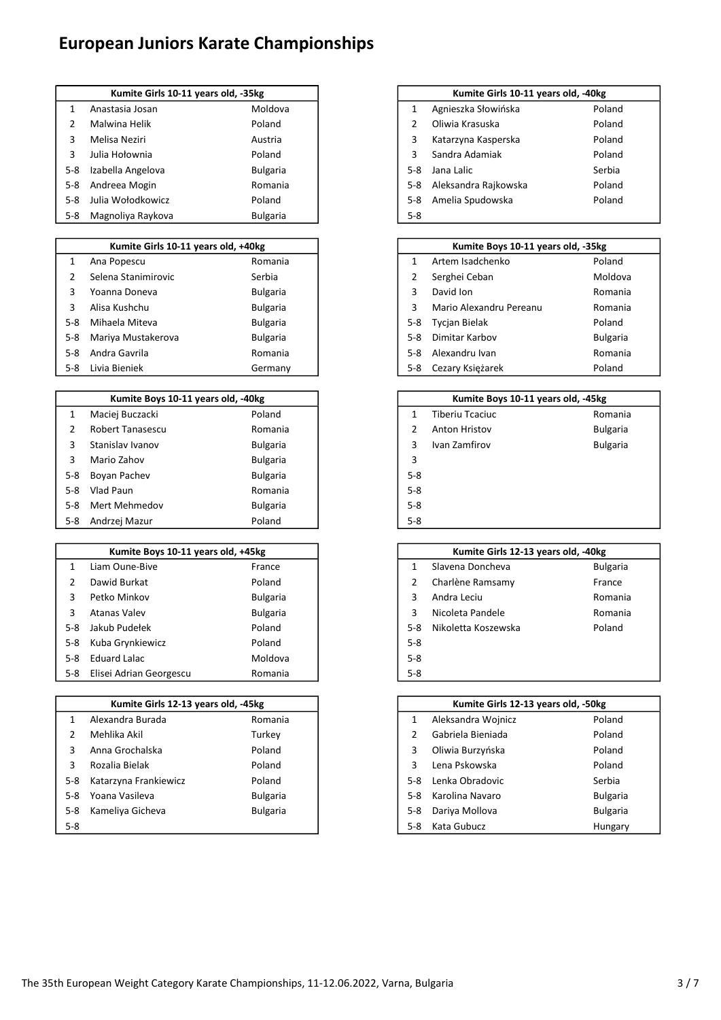## European Juniors Karate Championships

|     | Kumite Girls 10-11 years old, -35kg |                 |         | Kumite Girls 10-11 years old, -40kg |
|-----|-------------------------------------|-----------------|---------|-------------------------------------|
|     | Anastasia Josan                     | Moldova         |         | Agnieszka Słowińska                 |
|     | Malwina Helik                       | Poland          |         | Oliwia Krasuska                     |
| 3   | Melisa Neziri                       | Austria         |         | Katarzyna Kasperska                 |
| 3   | Julia Hołownia                      | Poland          |         | Sandra Adamiak                      |
| 5-8 | Izabella Angelova                   | <b>Bulgaria</b> | $5-8$   | Jana Lalic                          |
| 5-8 | Andreea Mogin                       | Romania         | $5 - 8$ | Aleksandra Rajkowska                |
| 5-8 | Julia Wołodkowicz                   | Poland          | $5-8$   | Amelia Spudowska                    |
| 5-8 | Magnoliya Raykova                   | <b>Bulgaria</b> | $5 - 8$ |                                     |

| Kumite Girls 10-11 years old, +40kg |                     |                 |       | Kumite Boys 10-11 years old, -35kg |                 |
|-------------------------------------|---------------------|-----------------|-------|------------------------------------|-----------------|
|                                     | Ana Popescu         | Romania         |       | Artem Isadchenko                   | Poland          |
|                                     | Selena Stanimirovic | Serbia          |       | Serghei Ceban                      | Moldova         |
| 3                                   | Yoanna Doneva       | <b>Bulgaria</b> |       | David Ion                          | Romania         |
|                                     | Alisa Kushchu       | <b>Bulgaria</b> |       | Mario Alexandru Pereanu            | Romania         |
| 5-8                                 | Mihaela Miteva      | <b>Bulgaria</b> | 5-8   | <b>Tycian Bielak</b>               | Poland          |
| 5-8                                 | Mariya Mustakerova  | <b>Bulgaria</b> | $5-8$ | Dimitar Karbov                     | <b>Bulgaria</b> |
| $5 - 8$                             | Andra Gavrila       | Romania         | $5-8$ | Alexandru Ivan                     | Romania         |
| 5-8                                 | Livia Bieniek       | Germany         | 5-8   | Cezary Księżarek                   | Poland          |

|       | Kumite Boys 10-11 years old, -40kg |                 |
|-------|------------------------------------|-----------------|
|       | Maciej Buczacki                    | Poland          |
|       | <b>Robert Tanasescu</b>            | Romania         |
| 3     | Stanislav Ivanov                   | <b>Bulgaria</b> |
| 3     | Mario Zahov                        | <b>Bulgaria</b> |
| $5-8$ | Boyan Pachev                       | <b>Bulgaria</b> |
| $5-8$ | Vlad Paun                          | Romania         |
| $5-8$ | Mert Mehmedov                      | <b>Bulgaria</b> |
| 5-8   | Andrzej Mazur                      | Poland          |

|       | Kumite Boys 10-11 years old, +45kg |                 |         | Kumite Girls 12-13 years old, -40kg |                 |
|-------|------------------------------------|-----------------|---------|-------------------------------------|-----------------|
|       | Liam Oune-Bive                     | France          |         | Slavena Doncheva                    | <b>Bulgaria</b> |
|       | Dawid Burkat                       | Poland          |         | Charlène Ramsamy                    | France          |
|       | Petko Minkov                       | <b>Bulgaria</b> | 3       | Andra Leciu                         | Romania         |
|       | Atanas Valev                       | <b>Bulgaria</b> | 3       | Nicoleta Pandele                    | Romania         |
| 5-8   | Jakub Pudełek                      | Poland          | 5-8     | Nikoletta Koszewska                 | Poland          |
| 5-8   | Kuba Grynkiewicz                   | Poland          | $5 - 8$ |                                     |                 |
| $5-8$ | Eduard Lalac                       | Moldova         | $5 - 8$ |                                     |                 |
| 5-8   | Elisei Adrian Georgescu            | Romania         | $5 - 8$ |                                     |                 |

|       | Kumite Girls 12-13 years old, -45kg |                 |       | Kumite Girls 12-13 years old, -50kg |                 |
|-------|-------------------------------------|-----------------|-------|-------------------------------------|-----------------|
|       | Alexandra Burada                    | Romania         |       | Aleksandra Wojnicz                  | Poland          |
|       | Mehlika Akil                        | Turkey          |       | Gabriela Bieniada                   | Poland          |
| 3     | Anna Grochalska                     | Poland          | 3     | Oliwia Burzyńska                    | Poland          |
| 3     | Rozalia Bielak                      | Poland          | 3     | Lena Pskowska                       | Poland          |
| $5-8$ | Katarzyna Frankiewicz               | Poland          | $5-8$ | Lenka Obradovic                     | Serbia          |
| $5-8$ | Yoana Vasileva                      | <b>Bulgaria</b> | $5-8$ | Karolina Navaro                     | <b>Bulgaria</b> |
| $5-8$ | Kameliya Gicheva                    | <b>Bulgaria</b> | 5-8   | Dariya Mollova                      | <b>Bulgaria</b> |
| $5-8$ |                                     |                 | $5-8$ | Kata Gubucz                         | Hungary         |

| Kumite Girls 10-11 years old, -35kg |                 |         | Kumite Girls 10-11 years old, -40kg |        |  |
|-------------------------------------|-----------------|---------|-------------------------------------|--------|--|
| tasia Josan                         | Moldova         |         | Agnieszka Słowińska                 | Poland |  |
| vina Helik                          | Poland          |         | Oliwia Krasuska                     | Poland |  |
| sa Neziri                           | Austria         | 3       | Katarzyna Kasperska                 | Poland |  |
| Hołownia                            | Poland          |         | Sandra Adamiak                      | Poland |  |
| ella Angelova                       | <b>Bulgaria</b> | $5-8$   | Jana Lalic                          | Serbia |  |
| eea Mogin                           | Romania         | $5-8$   | Aleksandra Rajkowska                | Poland |  |
| Wołodkowicz                         | Poland          | 5-8     | Amelia Spudowska                    | Poland |  |
| noliya Raykova                      | <b>Bulgaria</b> | $5 - 8$ |                                     |        |  |

| Kumite Girls 10-11 years old, +40kg |                        |                 | Kumite Boys 10-11 years old, -35kg |                         |                 |
|-------------------------------------|------------------------|-----------------|------------------------------------|-------------------------|-----------------|
| 1                                   | Ana Popescu            | Romania         |                                    | Artem Isadchenko        | Poland          |
| $\mathcal{L}$                       | Selena Stanimirovic    | Serbia          |                                    | Serghei Ceban           | Moldova         |
| 3                                   | Yoanna Doneva          | <b>Bulgaria</b> |                                    | David Ion               | Romania         |
| 3                                   | Alisa Kushchu          | <b>Bulgaria</b> |                                    | Mario Alexandru Pereanu | Romania         |
| 5-8                                 | Mihaela Miteva         | <b>Bulgaria</b> | 5-8                                | <b>Tycian Bielak</b>    | Poland          |
|                                     | 5-8 Mariya Mustakerova | <b>Bulgaria</b> | 5-8                                | Dimitar Karbov          | <b>Bulgaria</b> |
|                                     | 5-8 Andra Gavrila      | Romania         | 5-8                                | Alexandru Ivan          | Romania         |
|                                     | 5-8 Livia Bieniek      | Germany         |                                    | 5-8 Cezary Księżarek    | Poland          |

| Kumite Boys 10-11 years old, -40kg |                 | Kumite Boys 10-11 years old, -45kg |                        |                 |
|------------------------------------|-----------------|------------------------------------|------------------------|-----------------|
| ei Buczacki                        | Poland          |                                    | <b>Tiberiu Tcaciuc</b> | Romania         |
| ert Tanasescu                      | Romania         |                                    | <b>Anton Hristov</b>   | <b>Bulgaria</b> |
| islav Ivanov                       | <b>Bulgaria</b> | 3                                  | Ivan Zamfirov          | <b>Bulgaria</b> |
| o Zahov                            | <b>Bulgaria</b> | 3                                  |                        |                 |
| n Pachev                           | <b>Bulgaria</b> | $5 - 8$                            |                        |                 |
| Paun                               | Romania         | $5 - 8$                            |                        |                 |
| : Mehmedov                         | <b>Bulgaria</b> | $5-8$                              |                        |                 |
| zei Mazur                          | Poland          | $5 - 8$                            |                        |                 |

| Kumite Boys 10-11 years old, +45kg |  |         |                     |                                     |
|------------------------------------|--|---------|---------------------|-------------------------------------|
| France                             |  |         | Slavena Doncheva    | <b>Bulgaria</b>                     |
| Poland                             |  | 2       | Charlène Ramsamy    | France                              |
| <b>Bulgaria</b>                    |  | 3       | Andra Leciu         | Romania                             |
| <b>Bulgaria</b>                    |  | 3       | Nicoleta Pandele    | Romania                             |
| Poland                             |  | $5-8$   | Nikoletta Koszewska | Poland                              |
| Poland                             |  | $5 - 8$ |                     |                                     |
| Moldova                            |  | $5-8$   |                     |                                     |
| Romania                            |  | $5 - 8$ |                     |                                     |
|                                    |  |         |                     | Kumite Girls 12-13 years old, -40kg |

| Kumite Girls 12-13 years old, -45kg |                 |       | Kumite Girls 12-13 years old, -50kg |                 |
|-------------------------------------|-----------------|-------|-------------------------------------|-----------------|
| andra Burada                        | Romania         |       | Aleksandra Wojnicz                  | Poland          |
| lika Akil                           | Turkey          |       | Gabriela Bieniada                   | Poland          |
| ı Grochalska                        | Poland          | 3     | Oliwia Burzyńska                    | Poland          |
| lia Bielak                          | Poland          |       | Lena Pskowska                       | Poland          |
| rzyna Frankiewicz                   | Poland          | $5-8$ | Lenka Obradovic                     | Serbia          |
| a Vasileva                          | <b>Bulgaria</b> | 5-8   | Karolina Navaro                     | <b>Bulgaria</b> |
| eliya Gicheva                       | <b>Bulgaria</b> | 5-8   | Dariya Mollova                      | <b>Bulgaria</b> |
|                                     |                 | 5-8   | Kata Gubucz                         | Hungary         |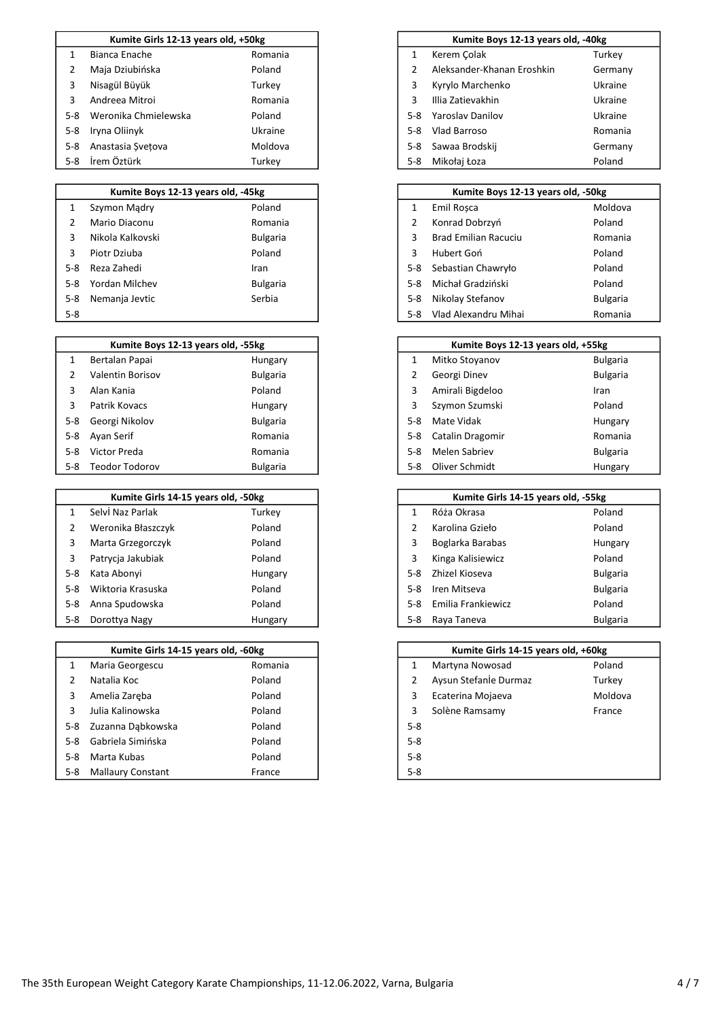|         | Kumite Girls 12-13 years old, +50kg |         |       | Kumite Boys 12-13 years old, -40kg |  |
|---------|-------------------------------------|---------|-------|------------------------------------|--|
|         | Bianca Enache                       | Romania |       | Kerem Colak                        |  |
|         | Maja Dziubińska                     | Poland  |       | Aleksander-Khanan Eroshkin         |  |
| 3       | Nisagül Büyük                       | Turkey  | 3     | Kyrylo Marchenko                   |  |
|         | Andreea Mitroi                      | Romania |       | Illia Zatievakhin                  |  |
| $5-8$   | Weronika Chmielewska                | Poland  | $5-8$ | Yaroslav Danilov                   |  |
| $5 - 8$ | Iryna Oliinyk                       | Ukraine | $5-8$ | Vlad Barroso                       |  |
| $5-8$   | Anastasia Svetova                   | Moldova | 5-8   | Sawaa Brodskij                     |  |
| 5-8     | İrem Öztürk                         | Turkey  | 5-8   | Mikołaj Łoza                       |  |

|       | Kumite Boys 12-13 years old, -45kg |                 |       | Kumite Boys 12-13 years old, -50kg |                 |
|-------|------------------------------------|-----------------|-------|------------------------------------|-----------------|
|       | Szymon Madry                       | Poland          |       | Emil Rosca                         | Moldova         |
|       | Mario Diaconu                      | Romania         |       | Konrad Dobrzyń                     | Poland          |
|       | Nikola Kalkovski                   | <b>Bulgaria</b> |       | <b>Brad Emilian Racuciu</b>        | Romania         |
|       | Piotr Dziuba                       | Poland          |       | Hubert Goń                         | Poland          |
| $5-8$ | Reza Zahedi                        | Iran            | 5-8   | Sebastian Chawryło                 | Poland          |
| $5-8$ | Yordan Milchev                     | <b>Bulgaria</b> | $5-8$ | Michał Gradziński                  | Poland          |
| $5-8$ | Nemanja Jevtic                     | Serbia          | $5-8$ | Nikolay Stefanov                   | <b>Bulgaria</b> |
| 5.8   |                                    |                 |       | 5-8 Vlad Alevandru Mihai           | Romania         |

|     | Kumite Boys 12-13 years old, -55kg |                 |
|-----|------------------------------------|-----------------|
|     | Bertalan Papai                     | Hungary         |
|     | <b>Valentin Borisov</b>            | <b>Bulgaria</b> |
|     | Alan Kania                         | Poland          |
|     | Patrik Kovacs                      | Hungary         |
| 5-8 | Georgi Nikolov                     | <b>Bulgaria</b> |
| 5-8 | Ayan Serif                         | Romania         |
| 5-8 | Victor Preda                       | Romania         |
|     | 5-8 Teodor Todorov                 | <b>Bulgaria</b> |

|       | Kumite Girls 14-15 years old, -50kg |         |
|-------|-------------------------------------|---------|
|       | Selvi Naz Parlak                    | Turkey  |
| 2     | Weronika Błaszczyk                  | Poland  |
| 3     | Marta Grzegorczyk                   | Poland  |
| 3     | Patrycia Jakubiak                   | Poland  |
| $5-8$ | Kata Abonyi                         | Hungary |
| $5-8$ | Wiktoria Krasuska                   | Poland  |
| $5-8$ | Anna Spudowska                      | Poland  |
| 5-8   | Dorottya Nagy                       | Hungary |

|       | Kumite Girls 14-15 years old, -60kg |         |         | Kumite Girls 14-15 years old, +60kg |         |
|-------|-------------------------------------|---------|---------|-------------------------------------|---------|
|       | Maria Georgescu                     | Romania |         | Martyna Nowosad                     | Poland  |
|       | Natalia Koc                         | Poland  |         | Aysun Stefanle Durmaz               | Turkey  |
| 3     | Amelia Zareba                       | Poland  |         | Ecaterina Mojaeva                   | Moldova |
|       | Julia Kalinowska                    | Poland  |         | Solène Ramsamy                      | France  |
| 5-8   | Zuzanna Dabkowska                   | Poland  | $5 - 8$ |                                     |         |
| $5-8$ | Gabriela Simińska                   | Poland  | $5 - 8$ |                                     |         |
| $5-8$ | Marta Kubas                         | Poland  | $5 - 8$ |                                     |         |
| 5-8   | <b>Mallaury Constant</b>            | France  | $5 - 8$ |                                     |         |

| Kumite Girls 12-13 years old, +50kg |         |       | Kumite Boys 12-13 years old, -40kg |         |
|-------------------------------------|---------|-------|------------------------------------|---------|
| ca Enache                           | Romania |       | Kerem Colak                        | Turkey  |
| ı Dziubińska                        | Poland  |       | Aleksander-Khanan Eroshkin         | Germany |
| gül Büyük-                          | Turkey  | 3     | Kyrylo Marchenko                   | Ukraine |
| eea Mitroi                          | Romania |       | Illia Zatievakhin                  | Ukraine |
| onika Chmielewska                   | Poland  | $5-8$ | <b>Yaroslav Danilov</b>            | Ukraine |
| ı Oliinyk                           | Ukraine | $5-8$ | Vlad Barroso                       | Romania |
| tasia Svetova                       | Moldova | 5-8   | Sawaa Brodskij                     | Germany |
| Öztürk                              | Turkey  | 5-8   | Mikołaj Łoza                       | Poland  |

|       | Kumite Boys 12-13 years old, -45kg |                 |       | Kumite Boys 12-13 years old, -50kg |                 |
|-------|------------------------------------|-----------------|-------|------------------------------------|-----------------|
| 1     | Szymon Madry                       | Poland          |       | Emil Rosca                         | Moldova         |
| 2     | Mario Diaconu                      | Romania         |       | Konrad Dobrzyń                     | Poland          |
| 3     | Nikola Kalkovski                   | <b>Bulgaria</b> |       | <b>Brad Emilian Racuciu</b>        | Romania         |
| 3     | Piotr Dziuba                       | Poland          |       | Hubert Goń                         | Poland          |
| 5-8   | Reza Zahedi                        | Iran            | 5-8   | Sebastian Chawryło                 | Poland          |
| 5-8   | Yordan Milchev                     | <b>Bulgaria</b> | $5-8$ | Michał Gradziński                  | Poland          |
|       | 5-8 Nemanja Jevtic                 | Serbia          | 5-8   | Nikolay Stefanov                   | <b>Bulgaria</b> |
| $5-8$ |                                    |                 | $5-8$ | Vlad Alexandru Mihai               | Romania         |

|     | Kumite Boys 12-13 years old, -55kg |                 |       | Kumite Boys 12-13 years old, +55kg |                 |
|-----|------------------------------------|-----------------|-------|------------------------------------|-----------------|
| 1   | Bertalan Papai                     | Hungary         |       | Mitko Stovanov                     | <b>Bulgaria</b> |
| 2   | <b>Valentin Borisov</b>            | <b>Bulgaria</b> |       | Georgi Dinev                       | <b>Bulgaria</b> |
| 3   | Alan Kania                         | Poland          |       | Amirali Bigdeloo                   | Iran            |
| 3   | Patrik Kovacs                      | Hungary         |       | Szymon Szumski                     | Poland          |
|     | 5-8 Georgi Nikolov                 | <b>Bulgaria</b> | $5-8$ | Mate Vidak                         | Hungary         |
|     | 5-8 Ayan Serif                     | Romania         | $5-8$ | Catalin Dragomir                   | Romania         |
| 5-8 | Victor Preda                       | Romania         | $5-8$ | Melen Sabriev                      | <b>Bulgaria</b> |
|     | 5-8 Teodor Todorov                 | <b>Bulgaria</b> | $5-8$ | Oliver Schmidt                     | Hungary         |

| Kumite Girls 14-15 years old, -50kg |         |       | Kumite Girls 14-15 years old, -55kg |                 |
|-------------------------------------|---------|-------|-------------------------------------|-----------------|
| Naz Parlak                          | Turkey  |       | Róża Okrasa                         | Poland          |
| onika Błaszczyk                     | Poland  |       | Karolina Gzieło                     | Poland          |
| a Grzegorczyk                       | Poland  |       | Boglarka Barabas                    | Hungary         |
| cia Jakubiak                        | Poland  |       | Kinga Kalisiewicz                   | Poland          |
| Abonyi                              | Hungary | $5-8$ | Zhizel Kioseva                      | <b>Bulgaria</b> |
| oria Krasuska                       | Poland  | $5-8$ | Iren Mitseva                        | <b>Bulgaria</b> |
| Spudowska                           | Poland  | $5-8$ | Emilia Frankiewicz                  | Poland          |
| ttya Nagy                           | Hungary | 5-8   | Raya Taneva                         | <b>Bulgaria</b> |

| Kumite Girls 14-15 years old, -60kg |         |         | Kumite Girls 14-15 years old, +60kg |         |
|-------------------------------------|---------|---------|-------------------------------------|---------|
| a Georgescu                         | Romania |         | Martyna Nowosad                     | Poland  |
| lia Koc                             | Poland  |         | Aysun Stefanle Durmaz               | Turkev  |
| lia Zareba                          | Poland  |         | Ecaterina Mojaeva                   | Moldova |
| Kalinowska                          | Poland  |         | Solène Ramsamy                      | France  |
| nna Dabkowska                       | Poland  | $5 - 8$ |                                     |         |
| iela Simińska                       | Poland  | $5 - 8$ |                                     |         |
| a Kubas                             | Poland  | $5 - 8$ |                                     |         |
| aury Constant                       | France  | $5 - 8$ |                                     |         |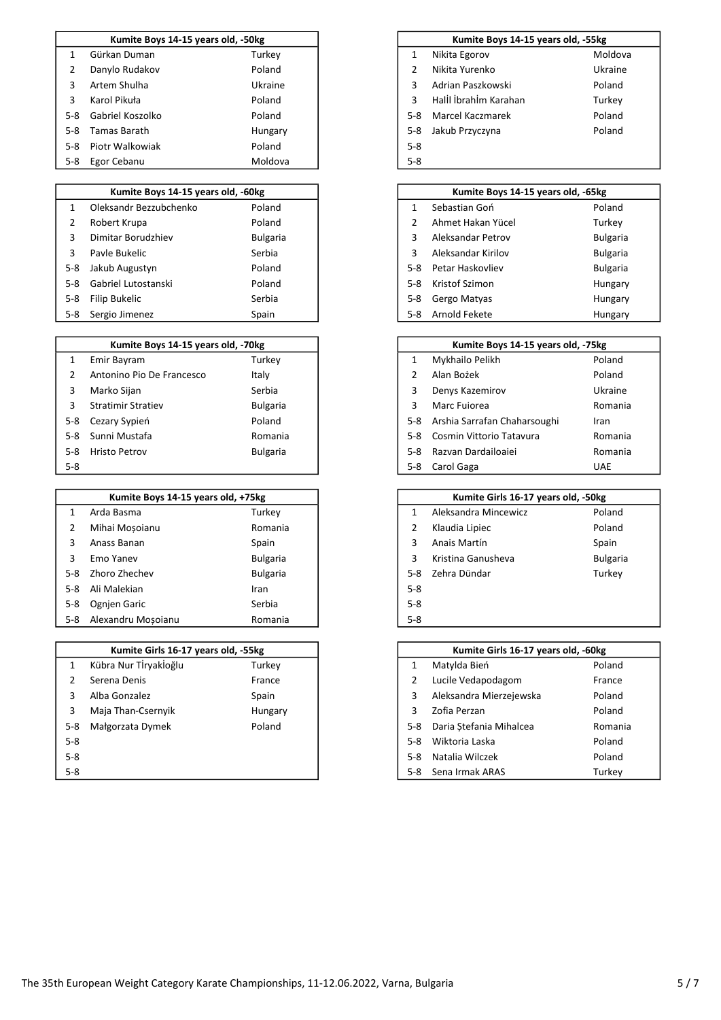|       | Kumite Boys 14-15 years old, -50kg |         |         | Kumite Boys 14-15 years old, -55kg |         |
|-------|------------------------------------|---------|---------|------------------------------------|---------|
|       | Gürkan Duman                       | Turkey  |         | Nikita Egorov                      | Moldova |
|       | Danylo Rudakov                     | Poland  |         | Nikita Yurenko                     | Ukraine |
| 3     | Artem Shulha                       | Ukraine | 3       | Adrian Paszkowski                  | Poland  |
| 3.    | Karol Pikuła                       | Poland  |         | Halll İbrahim Karahan              | Turkey  |
| 5-8   | Gabriel Koszolko                   | Poland  | $5-8$   | Marcel Kaczmarek                   | Poland  |
| 5-8   | Tamas Barath                       | Hungary | 5-8     | Jakub Przyczyna                    | Poland  |
| $5-8$ | Piotr Walkowiak                    | Poland  | $5 - 8$ |                                    |         |
| 5-8   | Egor Cebanu                        | Moldova | $5 - 8$ |                                    |         |

|       | Kumite Boys 14-15 years old, -60kg |                 |
|-------|------------------------------------|-----------------|
|       | Oleksandr Bezzubchenko             | Poland          |
|       | Robert Krupa                       | Poland          |
|       | Dimitar Borudzhiev                 | <b>Bulgaria</b> |
|       | Payle Bukelic                      | Serbia          |
| 5-8   | Jakub Augustyn                     | Poland          |
| $5-8$ | Gabriel Lutostanski                | Poland          |
| 5-8   | Filip Bukelic                      | Serbia          |
|       | 5-8 Sergio Jimenez                 | Spain           |

|       | Kumite Boys 14-15 years old, -70kg |                 |     | Kumite Boys 14-15 years old, -75kg |             |
|-------|------------------------------------|-----------------|-----|------------------------------------|-------------|
|       | Emir Bayram                        | Turkey          |     | Mykhailo Pelikh                    | Poland      |
|       | Antonino Pio De Francesco          | Italy           |     | Alan Bożek                         | Poland      |
| 3     | Marko Sijan                        | Serbia          | 3   | Denys Kazemirov                    | Ukraine     |
|       | <b>Stratimir Stratiev</b>          | <b>Bulgaria</b> | 3   | Marc Fuiorea                       | Romania     |
|       | 5-8 Cezary Sypien                  | Poland          | 5-8 | Arshia Sarrafan Chaharsoughi       | Iran        |
| $5-8$ | Sunni Mustafa                      | Romania         | 5-8 | Cosmin Vittorio Tatavura           | Romania     |
| $5-8$ | <b>Hristo Petrov</b>               | <b>Bulgaria</b> | 5-8 | Razvan Dardailoaiei                | Romania     |
| 5.8   |                                    |                 |     | 5-8 Carol Gaga                     | <b>IIAF</b> |

|     | Kumite Boys 14-15 years old, +75kg |                 |         | Kumite Girls 16-17 years old, -50kg |                 |
|-----|------------------------------------|-----------------|---------|-------------------------------------|-----------------|
|     | Arda Basma                         | Turkey          |         | Aleksandra Mincewicz                | Poland          |
|     | Mihai Mosoianu                     | Romania         |         | Klaudia Lipiec                      | Poland          |
| 3   | Anass Banan                        | Spain           | 3       | Anais Martín                        | Spain           |
|     | Emo Yanev                          | <b>Bulgaria</b> | 3       | Kristina Ganusheva                  | <b>Bulgaria</b> |
| 5-8 | Zhoro Zhechev                      | <b>Bulgaria</b> | $5-8$   | Zehra Dündar                        | Turkey          |
| 5-8 | Ali Malekian                       | Iran            | $5 - 8$ |                                     |                 |
| 5-8 | Ognien Garic                       | Serbia          | $5 - 8$ |                                     |                 |
| 5-8 | Alexandru Mosoianu                 | Romania         | $5 - 8$ |                                     |                 |

|     | Kumite Girls 16-17 years old, -55kg |         |       | Kumite Girls 16-17 years old, -60kg |         |
|-----|-------------------------------------|---------|-------|-------------------------------------|---------|
|     | Kübra Nur Tİryakloğlu               | Turkey  |       | Matylda Bień                        | Poland  |
|     | Serena Denis                        | France  |       | Lucile Vedapodagom                  | France  |
|     | Alba Gonzalez                       | Spain   | 3     | Aleksandra Mierzejewska             | Poland  |
| 3   | Maja Than-Csernyik                  | Hungary | 3     | Zofia Perzan                        | Poland  |
| 5-8 | Małgorzata Dymek                    | Poland  | 5-8   | Daria Stefania Mihalcea             | Romania |
| 5-8 |                                     |         | $5-8$ | Wiktoria Laska                      | Poland  |
| 5-8 |                                     |         | $5-8$ | Natalia Wilczek                     | Poland  |
| 5-8 |                                     |         | 5-8   | Sena Irmak ARAS                     | Turkey  |

| Kumite Boys 14-15 years old, -50kg |         |         | Kumite Boys 14-15 years old, -55kg |         |
|------------------------------------|---------|---------|------------------------------------|---------|
| an Duman                           | Turkey  |         | Nikita Egorov                      | Moldova |
| do Rudakov                         | Poland  |         | Nikita Yurenko                     | Ukraine |
| ท Shulha                           | Ukraine |         | Adrian Paszkowski                  | Poland  |
| l Pikuła                           | Poland  |         | Halll İbrahim Karahan              | Turkey  |
| iel Koszolko                       | Poland  | $5-8$   | Marcel Kaczmarek                   | Poland  |
| as Barath                          | Hungary | $5-8$   | Jakub Przyczyna                    | Poland  |
| Walkowiak                          | Poland  | $5 - 8$ |                                    |         |
| Cebanu                             | Moldova | $5 - 8$ |                                    |         |

|              | Kumite Boys 14-15 years old, -60kg |                 |       | Kumite Boys 14-15 years old, -65kg |                 |
|--------------|------------------------------------|-----------------|-------|------------------------------------|-----------------|
| $\mathbf{1}$ | Oleksandr Bezzubchenko             | Poland          |       | Sebastian Goń                      | Poland          |
| 2            | Robert Krupa                       | Poland          |       | Ahmet Hakan Yücel                  | Turkey          |
| 3            | Dimitar Borudzhiev                 | <b>Bulgaria</b> |       | Aleksandar Petrov                  | <b>Bulgaria</b> |
| 3            | Payle Bukelic                      | Serbia          |       | Aleksandar Kirilov                 | <b>Bulgaria</b> |
| 5-8          | Jakub Augustyn                     | Poland          | 5-8   | Petar Haskovliev                   | <b>Bulgaria</b> |
|              | 5-8 Gabriel Lutostanski            | Poland          | $5-8$ | Kristof Szimon                     | Hungary         |
| 5-8          | Filip Bukelic                      | Serbia          | 5-8   | Gergo Matyas                       | Hungary         |
| 5-8          | Sergio Jimenez                     | Spain           | $5-8$ | Arnold Fekete                      | Hungary         |

| Kumite Boys 14-15 years old, -70kg |                           |                 | Kumite Boys 14-15 years old, -75kg |                              |            |
|------------------------------------|---------------------------|-----------------|------------------------------------|------------------------------|------------|
| 1                                  | Emir Bayram               | Turkey          |                                    | Mykhailo Pelikh              | Poland     |
| 2                                  | Antonino Pio De Francesco | Italy           |                                    | Alan Bożek                   | Poland     |
| 3                                  | Marko Sijan               | Serbia          |                                    | Denys Kazemirov              | Ukraine    |
| 3                                  | <b>Stratimir Stratiev</b> | <b>Bulgaria</b> |                                    | Marc Fuiorea                 | Romania    |
|                                    | 5-8 Cezary Sypień         | Poland          | 5-8                                | Arshia Sarrafan Chaharsoughi | Iran       |
|                                    | 5-8 Sunni Mustafa         | Romania         |                                    | 5-8 Cosmin Vittorio Tatavura | Romania    |
| 5-8                                | <b>Hristo Petrov</b>      | <b>Bulgaria</b> | 5-8                                | Razvan Dardailoaiei          | Romania    |
| $5-8$                              |                           |                 | 5-8                                | Carol Gaga                   | <b>UAE</b> |

| Kumite Girls 16-17 years old, -50kg |                      |                 |  |  |  |  |  |
|-------------------------------------|----------------------|-----------------|--|--|--|--|--|
| 1                                   | Aleksandra Mincewicz | Poland          |  |  |  |  |  |
| 2                                   | Klaudia Lipiec       | Poland          |  |  |  |  |  |
| 3                                   | Anais Martín         | Spain           |  |  |  |  |  |
| 3                                   | Kristina Ganusheva   | <b>Bulgaria</b> |  |  |  |  |  |
| $5-8$                               | Zehra Dündar         | Turkey          |  |  |  |  |  |
| $5 - 8$                             |                      |                 |  |  |  |  |  |
| $5 - 8$                             |                      |                 |  |  |  |  |  |
| $5-8$                               |                      |                 |  |  |  |  |  |

| Kumite Girls 16-17 years old, -55kg |         |       | Kumite Girls 16-17 years old, -60kg |         |  |  |
|-------------------------------------|---------|-------|-------------------------------------|---------|--|--|
| a Nur Tİrvakİoğlu                   | Turkey  |       | Matylda Bień                        | Poland  |  |  |
| na Denis                            | France  |       | Lucile Vedapodagom                  | France  |  |  |
| Gonzalez                            | Spain   | 3     | Aleksandra Mierzejewska             | Poland  |  |  |
| Than-Csernyik                       | Hungary |       | Zofia Perzan                        | Poland  |  |  |
| orzata Dymek                        | Poland  | 5-8   | Daria Stefania Mihalcea             | Romania |  |  |
|                                     |         | $5-8$ | Wiktoria Laska                      | Poland  |  |  |
|                                     |         | $5-8$ | Natalia Wilczek                     | Poland  |  |  |
|                                     |         | 5-8   | Sena Irmak ARAS                     | Turkey  |  |  |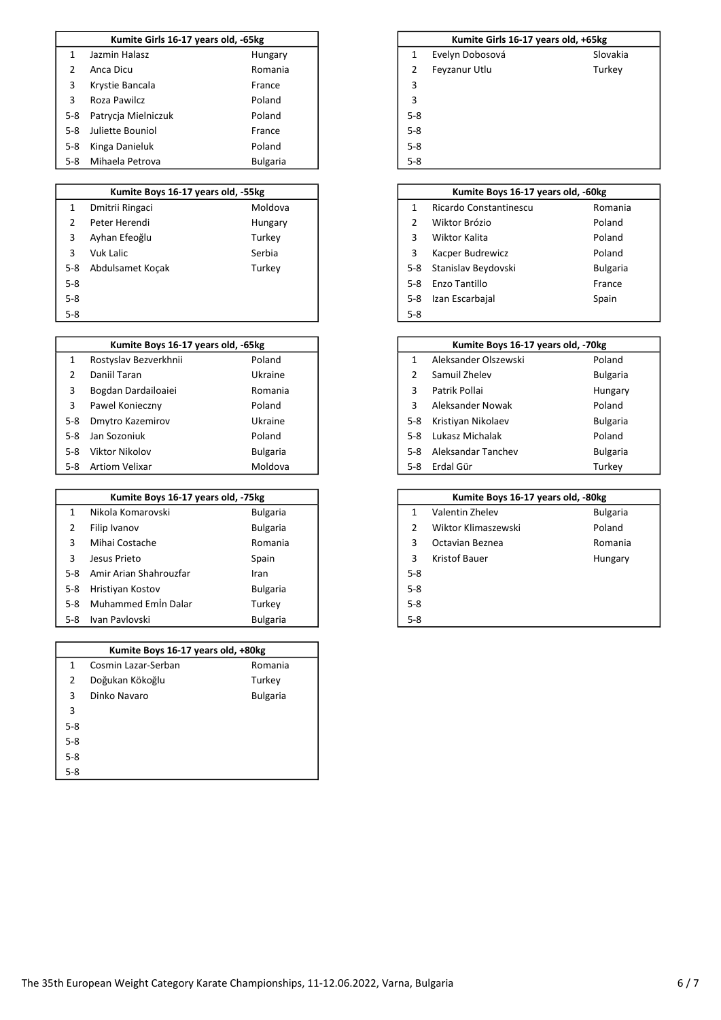|       | Kumite Girls 16-17 years old, -65kg |                 |                |
|-------|-------------------------------------|-----------------|----------------|
|       | Jazmin Halasz                       | Hungary         |                |
| 2     | Anca Dicu                           | Romania         | $\overline{2}$ |
| 3     | Krystie Bancala                     | France          | 3              |
| 3     | Roza Pawilcz                        | Poland          | 3              |
| $5-8$ | Patrycja Mielniczuk                 | Poland          | $5-8$          |
| $5-8$ | Juliette Bouniol                    | France          | $5-8$          |
| $5-8$ | Kinga Danieluk                      | Poland          | $5 - 8$        |
| $5-8$ | Mihaela Petrova                     | <b>Bulgaria</b> | $5 - 8$        |

### 1 Dmitrii Ringaci Moldova 2 Peter Herendi **Mungary** 2 Peter Herendi 3 Ayhan Efeoğlu **3** Turkey 3 Vuk Lalic **Serbia** 3 Kacper Budrewicz Poland 5-8 Abdulsamet Koçak Turkey 5-8 5-8 Enzo Tantillo France 5-8 Izan Escarbajal Spain Spain Spain Spain Spain Spain Spain Spain Spain Spain Spain Spain Spain Spain Spain 5-8 5-8 Kumite Boys 16-17 years old, -55kg

|       | Kumite Boys 16-17 years old, -65kg |                 |         | Kumite Boys 16-17 years old, -70kg |  |
|-------|------------------------------------|-----------------|---------|------------------------------------|--|
|       | Rostyslav Bezverkhnii              | Poland          |         | Aleksander Olszewski               |  |
|       | Daniil Taran                       | Ukraine         |         | Samuil Zhelev                      |  |
| 3     | Bogdan Dardailoaiei                | Romania         | 3       | Patrik Pollai                      |  |
| 3     | Pawel Konieczny                    | Poland          | 3       | Aleksander Nowak                   |  |
| $5-8$ | Dmytro Kazemirov                   | Ukraine         | $5 - 8$ | Kristiyan Nikolaev                 |  |
| $5-8$ | Jan Sozoniuk                       | Poland          | $5-8$   | Lukasz Michalak                    |  |
| 5-8   | Viktor Nikolov                     | <b>Bulgaria</b> | $5-8$   | Aleksandar Tanchev                 |  |
| $5-8$ | Artiom Velixar                     | Moldova         | $5-8$   | Erdal Gür                          |  |

|       | Kumite Boys 16-17 years old, -75kg |                 |         | Kumite Boys 16-17 years old, -80kg |                 |
|-------|------------------------------------|-----------------|---------|------------------------------------|-----------------|
|       | Nikola Komarovski                  | <b>Bulgaria</b> |         | Valentin Zhelev                    | <b>Bulgaria</b> |
|       | Filip Ivanov                       | <b>Bulgaria</b> |         | Wiktor Klimaszewski                | Poland          |
|       | Mihai Costache                     | Romania         | 3       | Octavian Beznea                    | Romania         |
|       | Jesus Prieto                       | Spain           | 3       | Kristof Bauer                      | Hungary         |
| 5-8   | Amir Arian Shahrouzfar             | <b>Iran</b>     | $5 - 8$ |                                    |                 |
| 5-8   | Hristiyan Kostov                   | <b>Bulgaria</b> | $5 - 8$ |                                    |                 |
| $5-8$ | Muhammed Emin Dalar                | Turkey          | $5 - 8$ |                                    |                 |
| 5-8   | Ivan Pavlovski                     | <b>Bulgaria</b> | $5 - 8$ |                                    |                 |

| Kumite Boys 16-17 years old, +80kg |                     |                 |  |  |  |  |  |
|------------------------------------|---------------------|-----------------|--|--|--|--|--|
| 1                                  | Cosmin Lazar-Serban | Romania         |  |  |  |  |  |
| 2                                  | Doğukan Kökoğlu     | Turkey          |  |  |  |  |  |
| 3                                  | Dinko Navaro        | <b>Bulgaria</b> |  |  |  |  |  |
| 3                                  |                     |                 |  |  |  |  |  |
| $5-8$                              |                     |                 |  |  |  |  |  |
| $5-8$                              |                     |                 |  |  |  |  |  |
| $5 - 8$                            |                     |                 |  |  |  |  |  |
| $5 - 8$                            |                     |                 |  |  |  |  |  |

### Kumite Girls 16-17 years old, +65kg

- 1 Evelyn Dobosová Slovakia 2 Feyzanur Utlu Turkey
- 
- 
- 
- 
- 
- 

|               | Kumite Boys 16-17 years old, -60kg |                 |
|---------------|------------------------------------|-----------------|
| 1             | Ricardo Constantinescu             | Romania         |
| $\mathcal{P}$ | Wiktor Brózio                      | Poland          |
| 3             | Wiktor Kalita                      | Poland          |
| 3             | Kacper Budrewicz                   | Poland          |
| $5 - 8$       | Stanislav Beydovski                | <b>Bulgaria</b> |
| $5-8$         | Enzo Tantillo                      | France          |
| $5 - 8$       | Izan Escarbajal                    | Spain           |
| $5-8$         |                                    |                 |

| Kumite Boys 16-17 years old, -65kg |                 | Kumite Boys 16-17 years old, -70kg |                      |                 |
|------------------------------------|-----------------|------------------------------------|----------------------|-----------------|
| yslav Bezverkhnii                  | Poland          |                                    | Aleksander Olszewski | Poland          |
| il Taran                           | Ukraine         |                                    | Samuil Zhelev        | <b>Bulgaria</b> |
| lan Dardailoaiei                   | Romania         | 3                                  | Patrik Pollai        | Hungary         |
| el Konieczny                       | Poland          | 3                                  | Aleksander Nowak     | Poland          |
| tro Kazemirov                      | Ukraine         | $5-8$                              | Kristiyan Nikolaev   | <b>Bulgaria</b> |
| ozoniuk                            | Poland          | $5-8$                              | Lukasz Michalak      | Poland          |
| or Nikolov                         | <b>Bulgaria</b> | $5-8$                              | Aleksandar Tanchev   | <b>Bulgaria</b> |
| m Velixar                          | Moldova         | $5-8$                              | Erdal Gür            | Turkev          |

|               | Kumite Boys 16-17 years old, -80kg |                 |  |  |  |  |  |  |
|---------------|------------------------------------|-----------------|--|--|--|--|--|--|
| 1             | Valentin Zhelev                    | <b>Bulgaria</b> |  |  |  |  |  |  |
| $\mathcal{P}$ | Wiktor Klimaszewski                | Poland          |  |  |  |  |  |  |
| 3             | Octavian Beznea                    | Romania         |  |  |  |  |  |  |
| 3             | Kristof Bauer                      | Hungary         |  |  |  |  |  |  |
| $5 - 8$       |                                    |                 |  |  |  |  |  |  |
| $5-8$         |                                    |                 |  |  |  |  |  |  |
| $5-8$         |                                    |                 |  |  |  |  |  |  |
| 5.2           |                                    |                 |  |  |  |  |  |  |